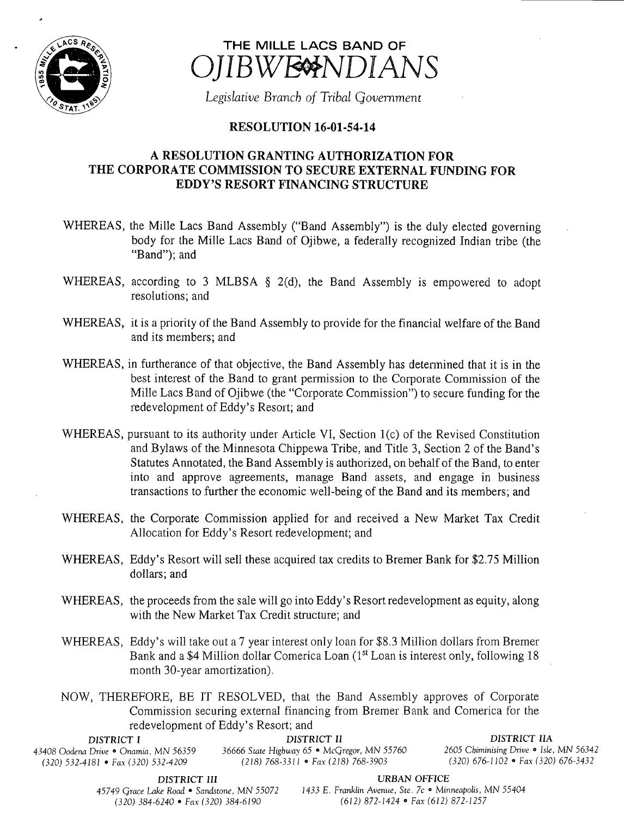

## THE MILLE LACS BAND OF IBWESNDIANS

Legislative Branch of Tribal Government

## **RESOLUTION 16-01-54-14**

## A RESOLUTION GRANTING AUTHORIZATION FOR THE CORPORATE COMMISSION TO SECURE EXTERNAL FUNDING FOR EDDY'S RESORT FINANCING STRUCTURE

- WHEREAS, the Mille Lacs Band Assembly ("Band Assembly") is the duly elected governing body for the Mille Lacs Band of Ojibwe, a federally recognized Indian tribe (the Band"); and
- WHEREAS, according to 3 MLBSA  $\S$  2(d), the Band Assembly is empowered to adopt resolutions; and
- WHEREAS, it is <sup>a</sup> priority of the Band Assembly to provide for the financial welfare of the Band and its members; and
- WHEREAS, in furtherance of that objective, the Band Assembly has determined that it is in the best interest of the Band to grant permission to the Corporate Commission of the Mille Lacs Band of Ojibwe (the "Corporate Commission") to secure funding for the redevelopment of Eddy's Resort; and
- WHEREAS, pursuant to its authority under Article VI, Section  $1(c)$  of the Revised Constitution and Bylaws of the Minnesota Chippewa Tribe, and Title 3, Section 2 of the Band' <sup>s</sup> Statutes Annotated, the Band Assembly is authorized, on behalf of the Band, to enter into and approve agreements, manage Band assets, and engage in business transactions to further the economic well-being of the Band and its members; and
- WHEREAS, the Corporate Commission applied for and received <sup>a</sup> New Market Tax Credit Allocation for Eddy's Resort redevelopment; and
- WHEREAS, Eddy's Resort will sell these acquired tax credits to Bremer Bank for \$2.75 Million dollars; and
- WHEREAS, the proceeds from the sale will go into Eddy's Resort redevelopment as equity, along with the New Market Tax Credit structure; and
- WHEREAS, Eddy's will take out a 7 year interest only loan for \$8.3 Million dollars from Bremer Bank and a \$4 Million dollar Comerica Loan (1<sup>st</sup> Loan is interest only, following 18 month 30-year amortization).
- NOW, THEREFORE, BE IT RESOLVED, that the Band Assembly approves of Corporate Commission securing external financing from Bremer Bank and Comerica for the redevelopment of Eddy' <sup>s</sup> Resort; and

| DISTRICT I                              | DISTRICT II                                 | DISTRICT HA                             |
|-----------------------------------------|---------------------------------------------|-----------------------------------------|
| 43408 Oodena Drive • Onamia. MN 56359 . | 36666 State Highway 65 • McGregor, MN 55760 | 2605 Chiminising Drive • Isle, MN 56342 |
| $(320)$ 532-4181 • Fax (320) 532-4209   | $(218)$ 768-3311 • Fax (218) 768-3903       | $(320)$ 676-1102 • Fax (320) 676-3432   |

DISTRICT III URBAN OFFICE

45749 Grace Lake Road • Sandstone, MN 55072 1433 E. Franklin Avenue, Ste. 7c • Minneapolis, MN 55404 320) 384- 6240 • Fax( 320) 384- 6190 612) 872- 1424 • Fax( 612) 872- 1257